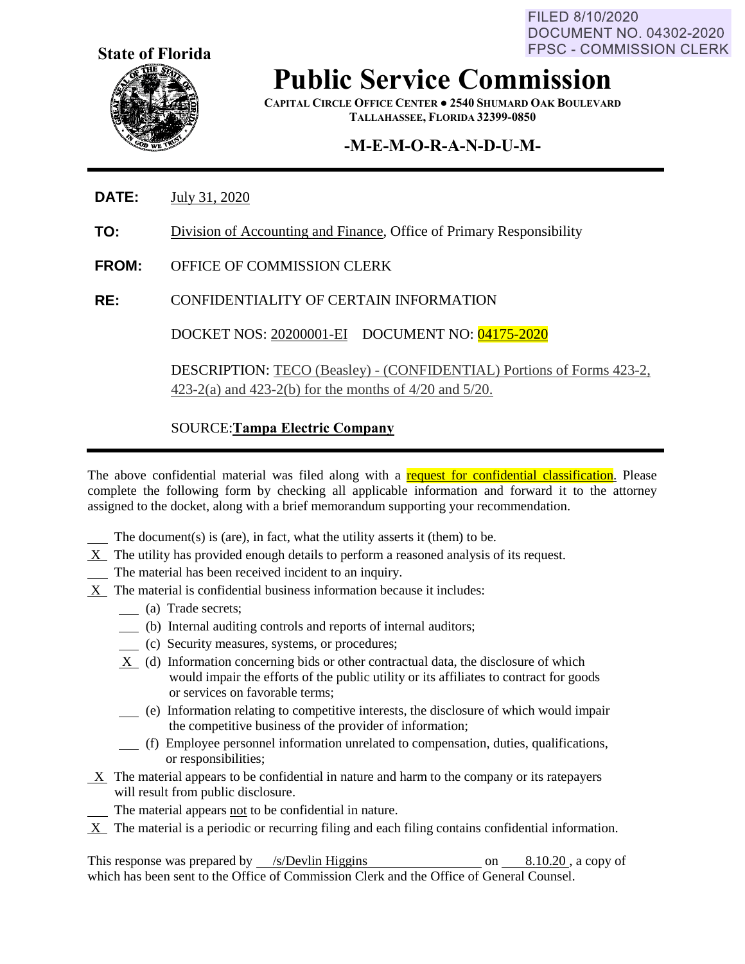FILED 8/10/2020 **DOCUMENT NO. 04302-2020 FPSC - COMMISSION CLERK** 



**Public Service Commission**

**CAPITAL CIRCLE OFFICE CENTER ● 2540 SHUMARD OAK BOULEVARD TALLAHASSEE, FLORIDA 32399-0850**

## **-M-E-M-O-R-A-N-D-U-M-**

- **DATE:** July 31, 2020
- **TO:** Division of Accounting and Finance, Office of Primary Responsibility
- **FROM:** OFFICE OF COMMISSION CLERK
- **RE:** CONFIDENTIALITY OF CERTAIN INFORMATION

DOCKET NOS: 20200001-EI DOCUMENT NO: 04175-2020

DESCRIPTION: TECO (Beasley) - (CONFIDENTIAL) Portions of Forms 423-2, 423-2(a) and 423-2(b) for the months of 4/20 and 5/20.

### SOURCE:**Tampa Electric Company**

The above confidential material was filed along with a request for confidential classification. Please complete the following form by checking all applicable information and forward it to the attorney assigned to the docket, along with a brief memorandum supporting your recommendation.

The document(s) is (are), in fact, what the utility asserts it (them) to be.

- $X$  The utility has provided enough details to perform a reasoned analysis of its request.
- The material has been received incident to an inquiry.
- X The material is confidential business information because it includes:
	- (a) Trade secrets;
	- (b) Internal auditing controls and reports of internal auditors;
	- (c) Security measures, systems, or procedures;
	- X (d) Information concerning bids or other contractual data, the disclosure of which would impair the efforts of the public utility or its affiliates to contract for goods or services on favorable terms;
	- (e) Information relating to competitive interests, the disclosure of which would impair the competitive business of the provider of information;
	- (f) Employee personnel information unrelated to compensation, duties, qualifications, or responsibilities;
- $X$  The material appears to be confidential in nature and harm to the company or its ratepayers will result from public disclosure.
	- The material appears not to be confidential in nature.
- $X$  The material is a periodic or recurring filing and each filing contains confidential information.

This response was prepared by  $\frac{\sqrt{s}}{2}$  /s/Devlin Higgins on 8.10.20, a copy of which has been sent to the Office of Commission Clerk and the Office of General Counsel.